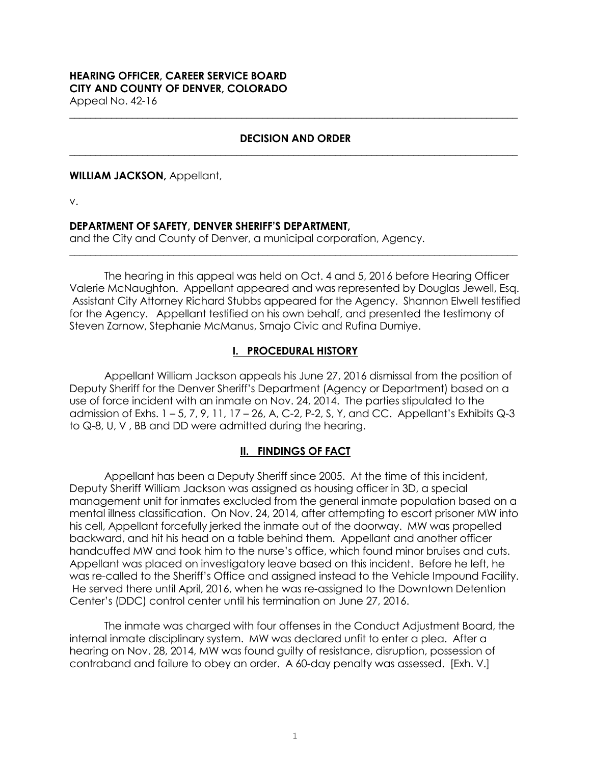# **HEARING OFFICER, CAREER SERVICE BOARD CITY AND COUNTY OF DENVER, COLORADO**

Appeal No. 42-16 **\_\_\_\_\_\_\_\_\_\_\_\_\_\_\_\_\_\_\_\_\_\_\_\_\_\_\_\_\_\_\_\_\_\_\_\_\_\_\_\_\_\_\_\_\_\_\_\_\_\_\_\_\_\_\_\_\_\_\_\_\_\_\_\_\_\_\_\_\_\_\_\_\_\_\_\_\_\_\_\_\_\_\_\_\_\_**

### **DECISION AND ORDER \_\_\_\_\_\_\_\_\_\_\_\_\_\_\_\_\_\_\_\_\_\_\_\_\_\_\_\_\_\_\_\_\_\_\_\_\_\_\_\_\_\_\_\_\_\_\_\_\_\_\_\_\_\_\_\_\_\_\_\_\_\_\_\_\_\_\_\_\_\_\_\_\_\_\_\_\_\_\_\_\_\_\_\_\_\_**

### **WILLIAM JACKSON,** Appellant,

v.

### **DEPARTMENT OF SAFETY, DENVER SHERIFF'S DEPARTMENT,**

and the City and County of Denver, a municipal corporation, Agency.

The hearing in this appeal was held on Oct. 4 and 5, 2016 before Hearing Officer Valerie McNaughton. Appellant appeared and was represented by Douglas Jewell, Esq. Assistant City Attorney Richard Stubbs appeared for the Agency. Shannon Elwell testified for the Agency. Appellant testified on his own behalf, and presented the testimony of Steven Zarnow, Stephanie McManus, Smajo Civic and Rufina Dumiye.

**\_\_\_\_\_\_\_\_\_\_\_\_\_\_\_\_\_\_\_\_\_\_\_\_\_\_\_\_\_\_\_\_\_\_\_\_\_\_\_\_\_\_\_\_\_\_\_\_\_\_\_\_\_\_\_\_\_\_\_\_\_\_\_\_\_\_\_\_\_\_\_\_\_\_\_\_\_\_\_\_\_\_\_\_\_\_**

## **I. PROCEDURAL HISTORY**

Appellant William Jackson appeals his June 27, 2016 dismissal from the position of Deputy Sheriff for the Denver Sheriff's Department (Agency or Department) based on a use of force incident with an inmate on Nov. 24, 2014. The parties stipulated to the admission of Exhs. 1 – 5, 7, 9, 11, 17 – 26, A, C-2, P-2, S, Y, and CC. Appellant's Exhibits Q-3 to Q-8, U, V , BB and DD were admitted during the hearing.

# **II. FINDINGS OF FACT**

Appellant has been a Deputy Sheriff since 2005. At the time of this incident, Deputy Sheriff William Jackson was assigned as housing officer in 3D, a special management unit for inmates excluded from the general inmate population based on a mental illness classification. On Nov. 24, 2014, after attempting to escort prisoner MW into his cell, Appellant forcefully jerked the inmate out of the doorway. MW was propelled backward, and hit his head on a table behind them. Appellant and another officer handcuffed MW and took him to the nurse's office, which found minor bruises and cuts. Appellant was placed on investigatory leave based on this incident. Before he left, he was re-called to the Sheriff's Office and assigned instead to the Vehicle Impound Facility. He served there until April, 2016, when he was re-assigned to the Downtown Detention Center's (DDC) control center until his termination on June 27, 2016.

The inmate was charged with four offenses in the Conduct Adjustment Board, the internal inmate disciplinary system. MW was declared unfit to enter a plea. After a hearing on Nov. 28, 2014, MW was found guilty of resistance, disruption, possession of contraband and failure to obey an order. A 60-day penalty was assessed. [Exh. V.]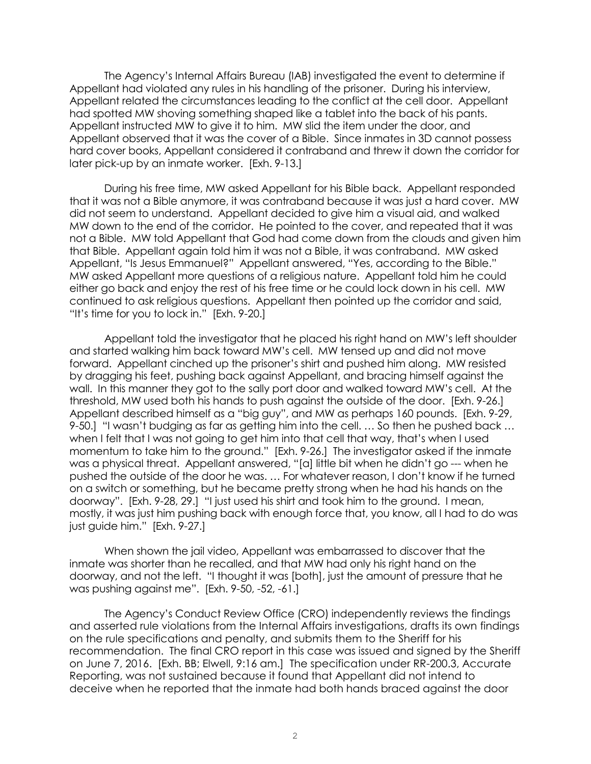The Agency's Internal Affairs Bureau (IAB) investigated the event to determine if Appellant had violated any rules in his handling of the prisoner. During his interview, Appellant related the circumstances leading to the conflict at the cell door. Appellant had spotted MW shoving something shaped like a tablet into the back of his pants. Appellant instructed MW to give it to him. MW slid the item under the door, and Appellant observed that it was the cover of a Bible. Since inmates in 3D cannot possess hard cover books, Appellant considered it contraband and threw it down the corridor for later pick-up by an inmate worker. [Exh. 9-13.]

During his free time, MW asked Appellant for his Bible back. Appellant responded that it was not a Bible anymore, it was contraband because it was just a hard cover. MW did not seem to understand. Appellant decided to give him a visual aid, and walked MW down to the end of the corridor. He pointed to the cover, and repeated that it was not a Bible. MW told Appellant that God had come down from the clouds and given him that Bible. Appellant again told him it was not a Bible, it was contraband. MW asked Appellant, "Is Jesus Emmanuel?" Appellant answered, "Yes, according to the Bible." MW asked Appellant more questions of a religious nature. Appellant told him he could either go back and enjoy the rest of his free time or he could lock down in his cell. MW continued to ask religious questions. Appellant then pointed up the corridor and said, "It's time for you to lock in." [Exh. 9-20.]

Appellant told the investigator that he placed his right hand on MW's left shoulder and started walking him back toward MW's cell. MW tensed up and did not move forward. Appellant cinched up the prisoner's shirt and pushed him along. MW resisted by dragging his feet, pushing back against Appellant, and bracing himself against the wall. In this manner they got to the sally port door and walked toward MW's cell. At the threshold, MW used both his hands to push against the outside of the door. [Exh. 9-26.] Appellant described himself as a "big guy", and MW as perhaps 160 pounds. [Exh. 9-29, 9-50.] "I wasn't budging as far as getting him into the cell. … So then he pushed back … when I felt that I was not going to get him into that cell that way, that's when I used momentum to take him to the ground." [Exh. 9-26.] The investigator asked if the inmate was a physical threat. Appellant answered, "[a] little bit when he didn't go --- when he pushed the outside of the door he was. … For whatever reason, I don't know if he turned on a switch or something, but he became pretty strong when he had his hands on the doorway". [Exh. 9-28, 29.] "I just used his shirt and took him to the ground. I mean, mostly, it was just him pushing back with enough force that, you know, all I had to do was just guide him." [Exh. 9-27.]

When shown the jail video, Appellant was embarrassed to discover that the inmate was shorter than he recalled, and that MW had only his right hand on the doorway, and not the left. "I thought it was [both], just the amount of pressure that he was pushing against me". [Exh. 9-50, -52, -61.]

The Agency's Conduct Review Office (CRO) independently reviews the findings and asserted rule violations from the Internal Affairs investigations, drafts its own findings on the rule specifications and penalty, and submits them to the Sheriff for his recommendation. The final CRO report in this case was issued and signed by the Sheriff on June 7, 2016. [Exh. BB; Elwell, 9:16 am.] The specification under RR-200.3, Accurate Reporting, was not sustained because it found that Appellant did not intend to deceive when he reported that the inmate had both hands braced against the door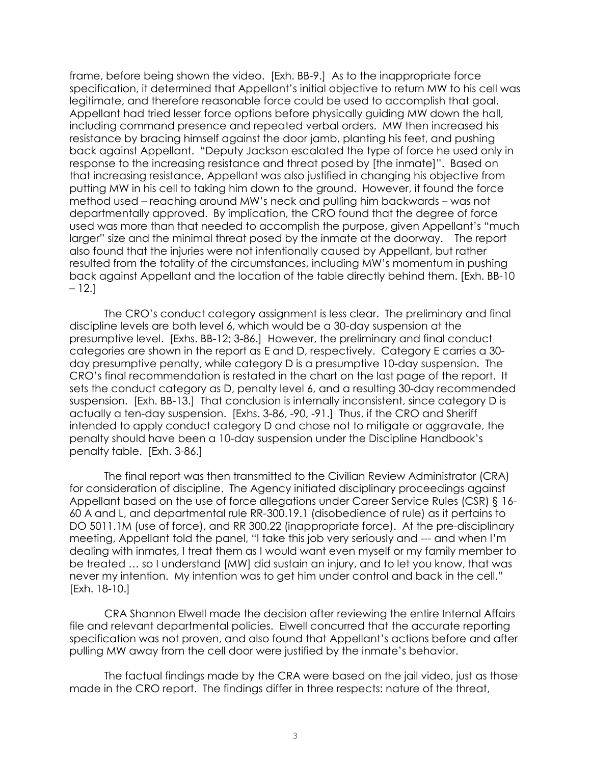frame, before being shown the video. [Exh. BB-9.] As to the inappropriate force specification, it determined that Appellant's initial objective to return MW to his cell was legitimate, and therefore reasonable force could be used to accomplish that goal. Appellant had tried lesser force options before physically guiding MW down the hall, including command presence and repeated verbal orders. MW then increased his resistance by bracing himself against the door jamb, planting his feet, and pushing back against Appellant. "Deputy Jackson escalated the type of force he used only in response to the increasing resistance and threat posed by [the inmate]". Based on that increasing resistance, Appellant was also justified in changing his objective from putting MW in his cell to taking him down to the ground. However, it found the force method used – reaching around MW's neck and pulling him backwards – was not departmentally approved. By implication, the CRO found that the degree of force used was more than that needed to accomplish the purpose, given Appellant's "much larger" size and the minimal threat posed by the inmate at the doorway. The report also found that the injuries were not intentionally caused by Appellant, but rather resulted from the totality of the circumstances, including MW's momentum in pushing back against Appellant and the location of the table directly behind them. [Exh. BB-10 – 12.]

The CRO's conduct category assignment is less clear. The preliminary and final discipline levels are both level 6, which would be a 30-day suspension at the presumptive level. [Exhs. BB-12; 3-86.] However, the preliminary and final conduct categories are shown in the report as E and D, respectively. Category E carries a 30 day presumptive penalty, while category D is a presumptive 10-day suspension. The CRO's final recommendation is restated in the chart on the last page of the report. It sets the conduct category as D, penalty level 6, and a resulting 30-day recommended suspension. [Exh. BB-13.] That conclusion is internally inconsistent, since category D is actually a ten-day suspension. [Exhs. 3-86, -90, -91.] Thus, if the CRO and Sheriff intended to apply conduct category D and chose not to mitigate or aggravate, the penalty should have been a 10-day suspension under the Discipline Handbook's penalty table. [Exh. 3-86.]

The final report was then transmitted to the Civilian Review Administrator (CRA) for consideration of discipline. The Agency initiated disciplinary proceedings against Appellant based on the use of force allegations under Career Service Rules (CSR) § 16- 60 A and L, and departmental rule RR-300.19.1 (disobedience of rule) as it pertains to DO 5011.1M (use of force), and RR 300.22 (inappropriate force). At the pre-disciplinary meeting, Appellant told the panel, "I take this job very seriously and --- and when I'm dealing with inmates, I treat them as I would want even myself or my family member to be treated … so I understand [MW] did sustain an injury, and to let you know, that was never my intention. My intention was to get him under control and back in the cell." [Exh. 18-10.]

CRA Shannon Elwell made the decision after reviewing the entire Internal Affairs file and relevant departmental policies. Elwell concurred that the accurate reporting specification was not proven, and also found that Appellant's actions before and after pulling MW away from the cell door were justified by the inmate's behavior.

The factual findings made by the CRA were based on the jail video, just as those made in the CRO report. The findings differ in three respects: nature of the threat,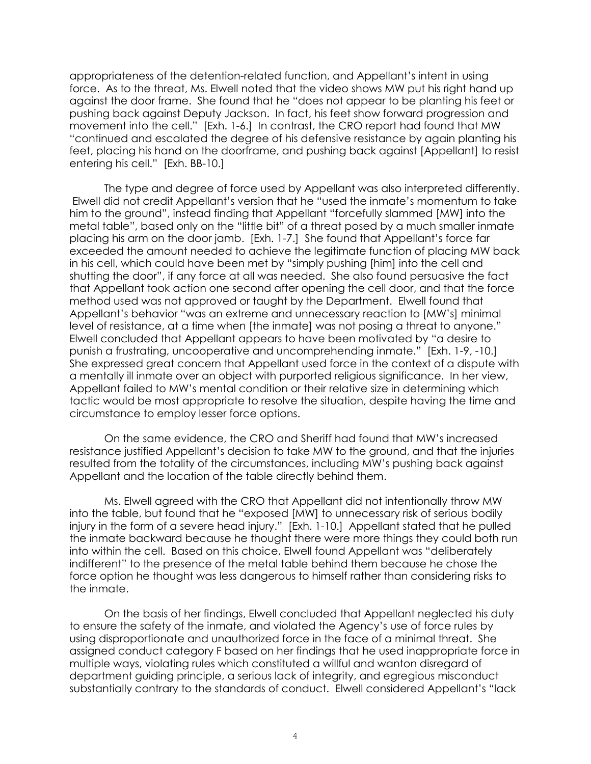appropriateness of the detention-related function, and Appellant's intent in using force. As to the threat, Ms. Elwell noted that the video shows MW put his right hand up against the door frame. She found that he "does not appear to be planting his feet or pushing back against Deputy Jackson. In fact, his feet show forward progression and movement into the cell." [Exh. 1-6.] In contrast, the CRO report had found that MW "continued and escalated the degree of his defensive resistance by again planting his feet, placing his hand on the doorframe, and pushing back against [Appellant] to resist entering his cell." [Exh. BB-10.]

The type and degree of force used by Appellant was also interpreted differently. Elwell did not credit Appellant's version that he "used the inmate's momentum to take him to the ground", instead finding that Appellant "forcefully slammed [MW] into the metal table", based only on the "little bit" of a threat posed by a much smaller inmate placing his arm on the door jamb. [Exh. 1-7.] She found that Appellant's force far exceeded the amount needed to achieve the legitimate function of placing MW back in his cell, which could have been met by "simply pushing [him] into the cell and shutting the door", if any force at all was needed. She also found persuasive the fact that Appellant took action one second after opening the cell door, and that the force method used was not approved or taught by the Department. Elwell found that Appellant's behavior "was an extreme and unnecessary reaction to [MW's] minimal level of resistance, at a time when [the inmate] was not posing a threat to anyone." Elwell concluded that Appellant appears to have been motivated by "a desire to punish a frustrating, uncooperative and uncomprehending inmate." [Exh. 1-9, -10.] She expressed great concern that Appellant used force in the context of a dispute with a mentally ill inmate over an object with purported religious significance. In her view, Appellant failed to MW's mental condition or their relative size in determining which tactic would be most appropriate to resolve the situation, despite having the time and circumstance to employ lesser force options.

On the same evidence, the CRO and Sheriff had found that MW's increased resistance justified Appellant's decision to take MW to the ground, and that the injuries resulted from the totality of the circumstances, including MW's pushing back against Appellant and the location of the table directly behind them.

Ms. Elwell agreed with the CRO that Appellant did not intentionally throw MW into the table, but found that he "exposed [MW] to unnecessary risk of serious bodily injury in the form of a severe head injury." [Exh. 1-10.] Appellant stated that he pulled the inmate backward because he thought there were more things they could both run into within the cell. Based on this choice, Elwell found Appellant was "deliberately indifferent" to the presence of the metal table behind them because he chose the force option he thought was less dangerous to himself rather than considering risks to the inmate.

On the basis of her findings, Elwell concluded that Appellant neglected his duty to ensure the safety of the inmate, and violated the Agency's use of force rules by using disproportionate and unauthorized force in the face of a minimal threat. She assigned conduct category F based on her findings that he used inappropriate force in multiple ways, violating rules which constituted a willful and wanton disregard of department guiding principle, a serious lack of integrity, and egregious misconduct substantially contrary to the standards of conduct. Elwell considered Appellant's "lack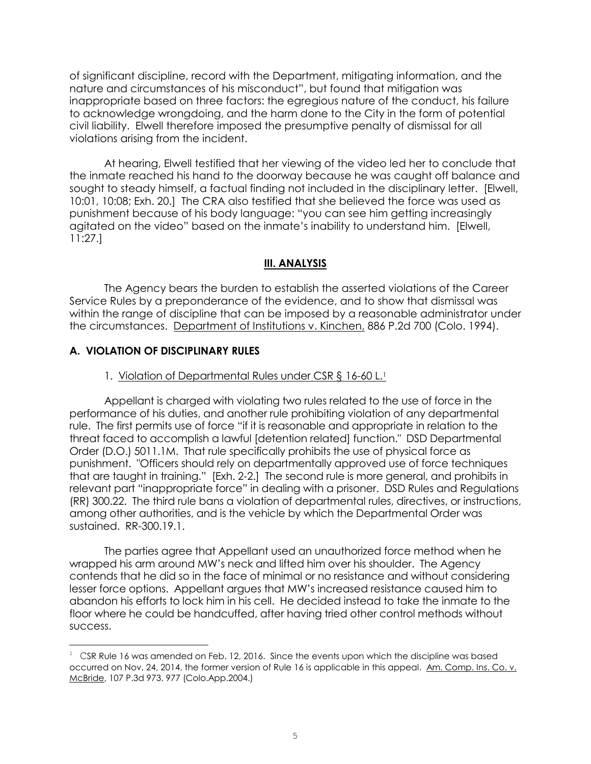of significant discipline, record with the Department, mitigating information, and the nature and circumstances of his misconduct", but found that mitigation was inappropriate based on three factors: the egregious nature of the conduct, his failure to acknowledge wrongdoing, and the harm done to the City in the form of potential civil liability. Elwell therefore imposed the presumptive penalty of dismissal for all violations arising from the incident.

At hearing, Elwell testified that her viewing of the video led her to conclude that the inmate reached his hand to the doorway because he was caught off balance and sought to steady himself, a factual finding not included in the disciplinary letter. [Elwell, 10:01, 10:08; Exh. 20.] The CRA also testified that she believed the force was used as punishment because of his body language: "you can see him getting increasingly agitated on the video" based on the inmate's inability to understand him. [Elwell, 11:27.]

## **III. ANALYSIS**

The Agency bears the burden to establish the asserted violations of the Career Service Rules by a preponderance of the evidence, and to show that dismissal was within the range of discipline that can be imposed by a reasonable administrator under the circumstances. Department of Institutions v. Kinchen, 886 P.2d 700 (Colo. 1994).

# **A. VIOLATION OF DISCIPLINARY RULES**

÷.

### 1. Violation of Departmental Rules under CSR § 16-60 L.<sup>1</sup>

Appellant is charged with violating two rules related to the use of force in the performance of his duties, and another rule prohibiting violation of any departmental rule. The first permits use of force "if it is reasonable and appropriate in relation to the threat faced to accomplish a lawful [detention related] function." DSD Departmental Order (D.O.) 5011.1M. That rule specifically prohibits the use of physical force as punishment. "Officers should rely on departmentally approved use of force techniques that are taught in training." [Exh. 2-2.] The second rule is more general, and prohibits in relevant part "inappropriate force" in dealing with a prisoner. DSD Rules and Regulations (RR) 300.22. The third rule bans a violation of departmental rules, directives, or instructions, among other authorities, and is the vehicle by which the Departmental Order was sustained. RR-300.19.1.

The parties agree that Appellant used an unauthorized force method when he wrapped his arm around MW's neck and lifted him over his shoulder. The Agency contends that he did so in the face of minimal or no resistance and without considering lesser force options. Appellant argues that MW's increased resistance caused him to abandon his efforts to lock him in his cell. He decided instead to take the inmate to the floor where he could be handcuffed, after having tried other control methods without success.

 $1 \text{ CSR Rule } 16 \text{ was amended on Feb. } 12, 2016.$  Since the events upon which the discipline was based occurred on Nov. 24, 2014, the former version of Rule 16 is applicable in this appeal. Am. Comp. Ins. Co. v. McBride, 107 P.3d 973, 977 (Colo.App.2004.)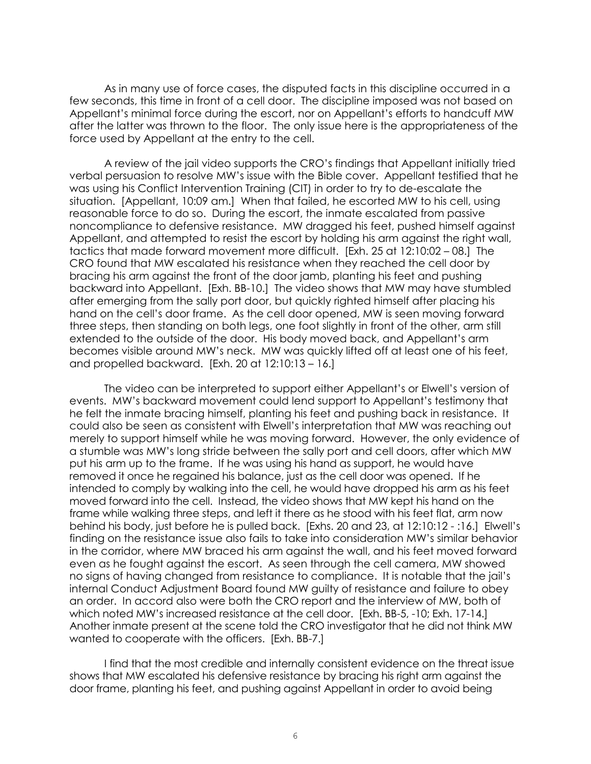As in many use of force cases, the disputed facts in this discipline occurred in a few seconds, this time in front of a cell door. The discipline imposed was not based on Appellant's minimal force during the escort, nor on Appellant's efforts to handcuff MW after the latter was thrown to the floor. The only issue here is the appropriateness of the force used by Appellant at the entry to the cell.

A review of the jail video supports the CRO's findings that Appellant initially tried verbal persuasion to resolve MW's issue with the Bible cover. Appellant testified that he was using his Conflict Intervention Training (CIT) in order to try to de-escalate the situation. [Appellant, 10:09 am.] When that failed, he escorted MW to his cell, using reasonable force to do so. During the escort, the inmate escalated from passive noncompliance to defensive resistance. MW dragged his feet, pushed himself against Appellant, and attempted to resist the escort by holding his arm against the right wall, tactics that made forward movement more difficult. [Exh. 25 at 12:10:02 – 08.] The CRO found that MW escalated his resistance when they reached the cell door by bracing his arm against the front of the door jamb, planting his feet and pushing backward into Appellant. [Exh. BB-10.] The video shows that MW may have stumbled after emerging from the sally port door, but quickly righted himself after placing his hand on the cell's door frame. As the cell door opened, MW is seen moving forward three steps, then standing on both legs, one foot slightly in front of the other, arm still extended to the outside of the door. His body moved back, and Appellant's arm becomes visible around MW's neck. MW was quickly lifted off at least one of his feet, and propelled backward. [Exh. 20 at 12:10:13 – 16.]

The video can be interpreted to support either Appellant's or Elwell's version of events. MW's backward movement could lend support to Appellant's testimony that he felt the inmate bracing himself, planting his feet and pushing back in resistance. It could also be seen as consistent with Elwell's interpretation that MW was reaching out merely to support himself while he was moving forward. However, the only evidence of a stumble was MW's long stride between the sally port and cell doors, after which MW put his arm up to the frame. If he was using his hand as support, he would have removed it once he regained his balance, just as the cell door was opened. If he intended to comply by walking into the cell, he would have dropped his arm as his feet moved forward into the cell. Instead, the video shows that MW kept his hand on the frame while walking three steps, and left it there as he stood with his feet flat, arm now behind his body, just before he is pulled back. [Exhs. 20 and 23, at 12:10:12 - :16.] Elwell's finding on the resistance issue also fails to take into consideration MW's similar behavior in the corridor, where MW braced his arm against the wall, and his feet moved forward even as he fought against the escort. As seen through the cell camera, MW showed no signs of having changed from resistance to compliance. It is notable that the jail's internal Conduct Adjustment Board found MW guilty of resistance and failure to obey an order. In accord also were both the CRO report and the interview of MW, both of which noted MW's increased resistance at the cell door. [Exh. BB-5, -10; Exh. 17-14.] Another inmate present at the scene told the CRO investigator that he did not think MW wanted to cooperate with the officers. [Exh. BB-7.]

I find that the most credible and internally consistent evidence on the threat issue shows that MW escalated his defensive resistance by bracing his right arm against the door frame, planting his feet, and pushing against Appellant in order to avoid being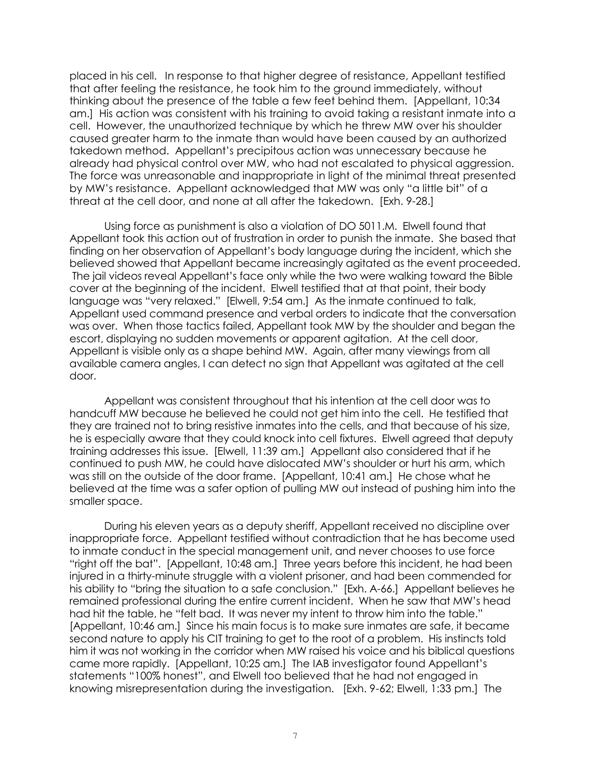placed in his cell. In response to that higher degree of resistance, Appellant testified that after feeling the resistance, he took him to the ground immediately, without thinking about the presence of the table a few feet behind them. [Appellant, 10:34 am.] His action was consistent with his training to avoid taking a resistant inmate into a cell. However, the unauthorized technique by which he threw MW over his shoulder caused greater harm to the inmate than would have been caused by an authorized takedown method. Appellant's precipitous action was unnecessary because he already had physical control over MW, who had not escalated to physical aggression. The force was unreasonable and inappropriate in light of the minimal threat presented by MW's resistance. Appellant acknowledged that MW was only "a little bit" of a threat at the cell door, and none at all after the takedown. [Exh. 9-28.]

Using force as punishment is also a violation of DO 5011.M. Elwell found that Appellant took this action out of frustration in order to punish the inmate. She based that finding on her observation of Appellant's body language during the incident, which she believed showed that Appellant became increasingly agitated as the event proceeded. The jail videos reveal Appellant's face only while the two were walking toward the Bible cover at the beginning of the incident. Elwell testified that at that point, their body language was "very relaxed." [Elwell, 9:54 am.] As the inmate continued to talk, Appellant used command presence and verbal orders to indicate that the conversation was over. When those tactics failed, Appellant took MW by the shoulder and began the escort, displaying no sudden movements or apparent agitation. At the cell door, Appellant is visible only as a shape behind MW. Again, after many viewings from all available camera angles, I can detect no sign that Appellant was agitated at the cell door.

Appellant was consistent throughout that his intention at the cell door was to handcuff MW because he believed he could not get him into the cell. He testified that they are trained not to bring resistive inmates into the cells, and that because of his size, he is especially aware that they could knock into cell fixtures. Elwell agreed that deputy training addresses this issue. [Elwell, 11:39 am.] Appellant also considered that if he continued to push MW, he could have dislocated MW's shoulder or hurt his arm, which was still on the outside of the door frame. [Appellant, 10:41 am.] He chose what he believed at the time was a safer option of pulling MW out instead of pushing him into the smaller space.

During his eleven years as a deputy sheriff, Appellant received no discipline over inappropriate force. Appellant testified without contradiction that he has become used to inmate conduct in the special management unit, and never chooses to use force "right off the bat". [Appellant, 10:48 am.] Three years before this incident, he had been injured in a thirty-minute struggle with a violent prisoner, and had been commended for his ability to "bring the situation to a safe conclusion." [Exh. A-66.] Appellant believes he remained professional during the entire current incident. When he saw that MW's head had hit the table, he "felt bad. It was never my intent to throw him into the table." [Appellant, 10:46 am.] Since his main focus is to make sure inmates are safe, it became second nature to apply his CIT training to get to the root of a problem. His instincts told him it was not working in the corridor when MW raised his voice and his biblical questions came more rapidly. [Appellant, 10:25 am.] The IAB investigator found Appellant's statements "100% honest", and Elwell too believed that he had not engaged in knowing misrepresentation during the investigation. [Exh. 9-62; Elwell, 1:33 pm.] The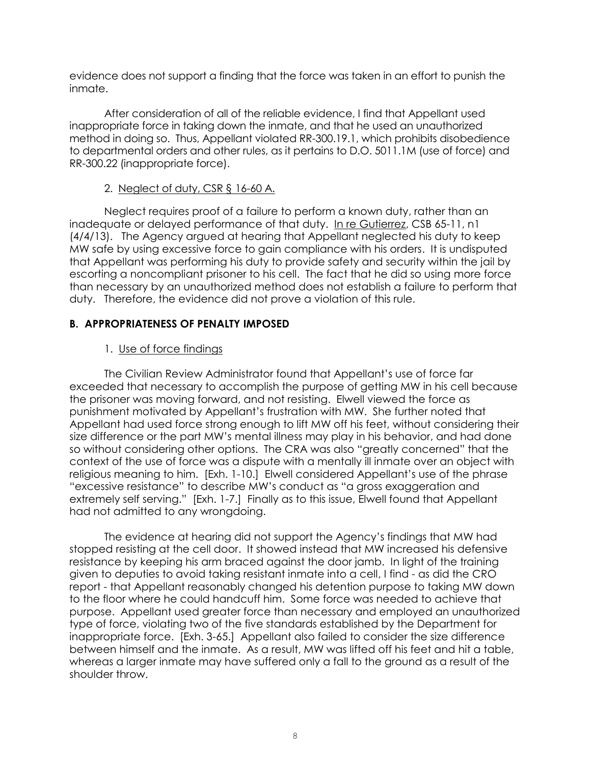evidence does not support a finding that the force was taken in an effort to punish the inmate.

After consideration of all of the reliable evidence, I find that Appellant used inappropriate force in taking down the inmate, and that he used an unauthorized method in doing so. Thus, Appellant violated RR-300.19.1, which prohibits disobedience to departmental orders and other rules, as it pertains to D.O. 5011.1M (use of force) and RR-300.22 (inappropriate force).

# 2. Neglect of duty, CSR § 16-60 A.

Neglect requires proof of a failure to perform a known duty, rather than an inadequate or delayed performance of that duty. [In re Gutierrez,](https://www.denvergov.org/content/dam/denvergov/Portals/671/documents/Hearings/Gutierrez_Silver_65-11_Decision.pdf) CSB 65-11, n1 (4/4/13). The Agency argued at hearing that Appellant neglected his duty to keep MW safe by using excessive force to gain compliance with his orders. It is undisputed that Appellant was performing his duty to provide safety and security within the jail by escorting a noncompliant prisoner to his cell. The fact that he did so using more force than necessary by an unauthorized method does not establish a failure to perform that duty. Therefore, the evidence did not prove a violation of this rule.

# **B. APPROPRIATENESS OF PENALTY IMPOSED**

# 1. Use of force findings

The Civilian Review Administrator found that Appellant's use of force far exceeded that necessary to accomplish the purpose of getting MW in his cell because the prisoner was moving forward, and not resisting. Elwell viewed the force as punishment motivated by Appellant's frustration with MW. She further noted that Appellant had used force strong enough to lift MW off his feet, without considering their size difference or the part MW's mental illness may play in his behavior, and had done so without considering other options. The CRA was also "greatly concerned" that the context of the use of force was a dispute with a mentally ill inmate over an object with religious meaning to him. [Exh. 1-10.] Elwell considered Appellant's use of the phrase "excessive resistance" to describe MW's conduct as "a gross exaggeration and extremely self serving." [Exh. 1-7.] Finally as to this issue, Elwell found that Appellant had not admitted to any wrongdoing.

The evidence at hearing did not support the Agency's findings that MW had stopped resisting at the cell door. It showed instead that MW increased his defensive resistance by keeping his arm braced against the door jamb. In light of the training given to deputies to avoid taking resistant inmate into a cell, I find - as did the CRO report - that Appellant reasonably changed his detention purpose to taking MW down to the floor where he could handcuff him. Some force was needed to achieve that purpose. Appellant used greater force than necessary and employed an unauthorized type of force, violating two of the five standards established by the Department for inappropriate force. [Exh. 3-65.] Appellant also failed to consider the size difference between himself and the inmate. As a result, MW was lifted off his feet and hit a table, whereas a larger inmate may have suffered only a fall to the ground as a result of the shoulder throw.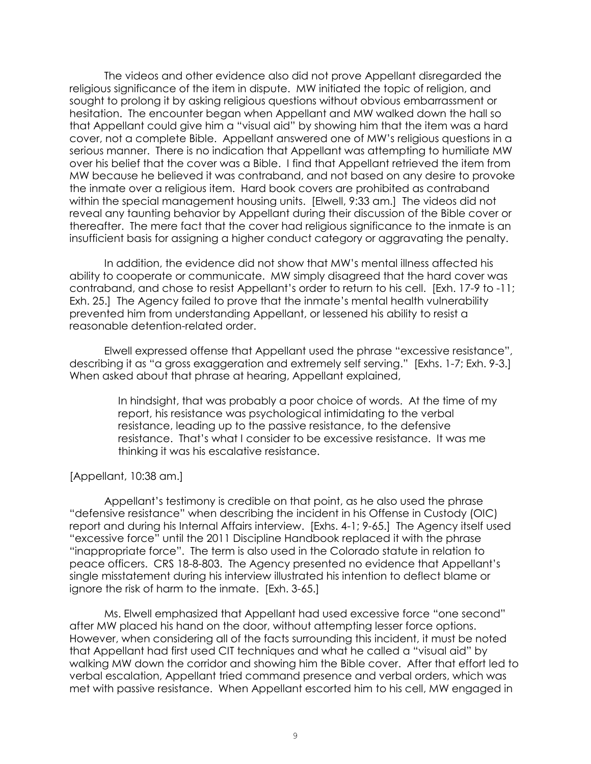The videos and other evidence also did not prove Appellant disregarded the religious significance of the item in dispute. MW initiated the topic of religion, and sought to prolong it by asking religious questions without obvious embarrassment or hesitation. The encounter began when Appellant and MW walked down the hall so that Appellant could give him a "visual aid" by showing him that the item was a hard cover, not a complete Bible. Appellant answered one of MW's religious questions in a serious manner. There is no indication that Appellant was attempting to humiliate MW over his belief that the cover was a Bible. I find that Appellant retrieved the item from MW because he believed it was contraband, and not based on any desire to provoke the inmate over a religious item. Hard book covers are prohibited as contraband within the special management housing units. [Elwell, 9:33 am.] The videos did not reveal any taunting behavior by Appellant during their discussion of the Bible cover or thereafter. The mere fact that the cover had religious significance to the inmate is an insufficient basis for assigning a higher conduct category or aggravating the penalty.

In addition, the evidence did not show that MW's mental illness affected his ability to cooperate or communicate. MW simply disagreed that the hard cover was contraband, and chose to resist Appellant's order to return to his cell. [Exh. 17-9 to -11; Exh. 25.] The Agency failed to prove that the inmate's mental health vulnerability prevented him from understanding Appellant, or lessened his ability to resist a reasonable detention-related order.

Elwell expressed offense that Appellant used the phrase "excessive resistance", describing it as "a gross exaggeration and extremely self serving." [Exhs. 1-7; Exh. 9-3.] When asked about that phrase at hearing, Appellant explained,

> In hindsight, that was probably a poor choice of words. At the time of my report, his resistance was psychological intimidating to the verbal resistance, leading up to the passive resistance, to the defensive resistance. That's what I consider to be excessive resistance. It was me thinking it was his escalative resistance.

### [Appellant, 10:38 am.]

Appellant's testimony is credible on that point, as he also used the phrase "defensive resistance" when describing the incident in his Offense in Custody (OIC) report and during his Internal Affairs interview. [Exhs. 4-1; 9-65.] The Agency itself used "excessive force" until the 2011 Discipline Handbook replaced it with the phrase "inappropriate force". The term is also used in the Colorado statute in relation to peace officers. CRS 18-8-803. The Agency presented no evidence that Appellant's single misstatement during his interview illustrated his intention to deflect blame or ignore the risk of harm to the inmate. [Exh. 3-65.]

Ms. Elwell emphasized that Appellant had used excessive force "one second" after MW placed his hand on the door, without attempting lesser force options. However, when considering all of the facts surrounding this incident, it must be noted that Appellant had first used CIT techniques and what he called a "visual aid" by walking MW down the corridor and showing him the Bible cover. After that effort led to verbal escalation, Appellant tried command presence and verbal orders, which was met with passive resistance. When Appellant escorted him to his cell, MW engaged in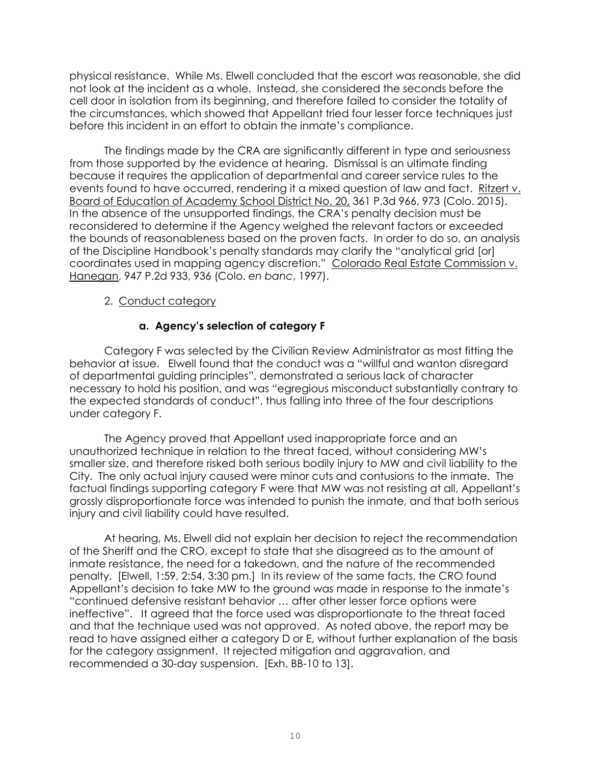physical resistance. While Ms. Elwell concluded that the escort was reasonable, she did not look at the incident as a whole. Instead, she considered the seconds before the cell door in isolation from its beginning, and therefore failed to consider the totality of the circumstances, which showed that Appellant tried four lesser force techniques just before this incident in an effort to obtain the inmate's compliance.

The findings made by the CRA are significantly different in type and seriousness from those supported by the evidence at hearing. Dismissal is an ultimate finding because it requires the application of departmental and career service rules to the events found to have occurred, rendering it a mixed question of law and fact. Ritzert v. Board of Education of Academy School District No. 20, 361 P.3d 966, 973 (Colo. 2015). In the absence of the unsupported findings, the CRA's penalty decision must be reconsidered to determine if the Agency weighed the relevant factors or exceeded the bounds of reasonableness based on the proven facts. In order to do so, an analysis of the Discipline Handbook's penalty standards may clarify the "analytical grid [or] coordinates used in mapping agency discretion." Colorado Real Estate Commission v. Hanegan, 947 P.2d 933, 936 (Colo. *en banc*, 1997).

# 2. Conduct category

# **a. Agency's selection of category F**

Category F was selected by the Civilian Review Administrator as most fitting the behavior at issue. Elwell found that the conduct was a "willful and wanton disregard of departmental guiding principles", demonstrated a serious lack of character necessary to hold his position, and was "egregious misconduct substantially contrary to the expected standards of conduct", thus falling into three of the four descriptions under category F.

The Agency proved that Appellant used inappropriate force and an unauthorized technique in relation to the threat faced, without considering MW's smaller size, and therefore risked both serious bodily injury to MW and civil liability to the City. The only actual injury caused were minor cuts and contusions to the inmate. The factual findings supporting category F were that MW was not resisting at all, Appellant's grossly disproportionate force was intended to punish the inmate, and that both serious injury and civil liability could have resulted.

At hearing, Ms. Elwell did not explain her decision to reject the recommendation of the Sheriff and the CRO, except to state that she disagreed as to the amount of inmate resistance, the need for a takedown, and the nature of the recommended penalty. [Elwell, 1:59, 2:54, 3:30 pm.] In its review of the same facts, the CRO found Appellant's decision to take MW to the ground was made in response to the inmate's "continued defensive resistant behavior … after other lesser force options were ineffective". It agreed that the force used was disproportionate to the threat faced and that the technique used was not approved. As noted above, the report may be read to have assigned either a category D or E, without further explanation of the basis for the category assignment. It rejected mitigation and aggravation, and recommended a 30-day suspension. [Exh. BB-10 to 13].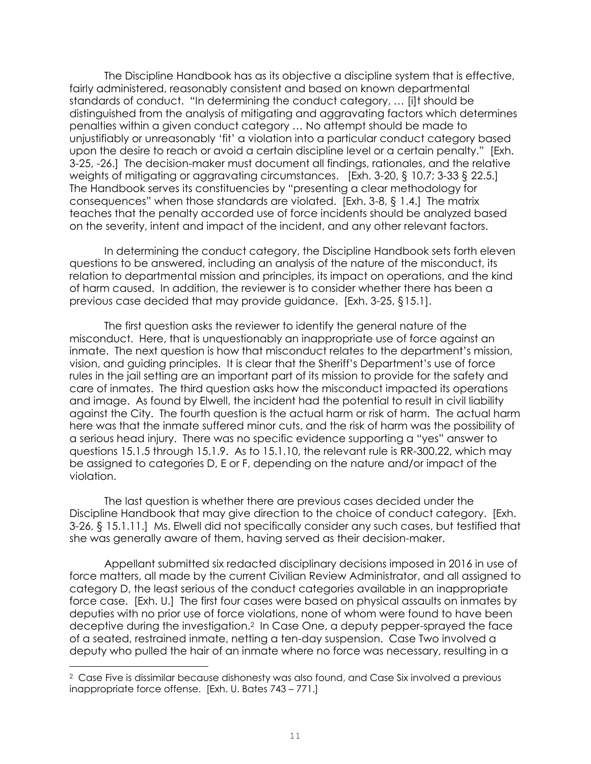The Discipline Handbook has as its objective a discipline system that is effective, fairly administered, reasonably consistent and based on known departmental standards of conduct. "In determining the conduct category, … [i]t should be distinguished from the analysis of mitigating and aggravating factors which determines penalties within a given conduct category … No attempt should be made to unjustifiably or unreasonably 'fit' a violation into a particular conduct category based upon the desire to reach or avoid a certain discipline level or a certain penalty." [Exh. 3-25, -26.] The decision-maker must document all findings, rationales, and the relative weights of mitigating or aggravating circumstances. [Exh. 3-20, § 10.7; 3-33 § 22.5.] The Handbook serves its constituencies by "presenting a clear methodology for consequences" when those standards are violated. [Exh. 3-8, § 1.4.] The matrix teaches that the penalty accorded use of force incidents should be analyzed based on the severity, intent and impact of the incident, and any other relevant factors.

In determining the conduct category, the Discipline Handbook sets forth eleven questions to be answered, including an analysis of the nature of the misconduct, its relation to departmental mission and principles, its impact on operations, and the kind of harm caused. In addition, the reviewer is to consider whether there has been a previous case decided that may provide guidance. [Exh. 3-25, §15.1].

The first question asks the reviewer to identify the general nature of the misconduct. Here, that is unquestionably an inappropriate use of force against an inmate. The next question is how that misconduct relates to the department's mission, vision, and guiding principles. It is clear that the Sheriff's Department's use of force rules in the jail setting are an important part of its mission to provide for the safety and care of inmates. The third question asks how the misconduct impacted its operations and image. As found by Elwell, the incident had the potential to result in civil liability against the City. The fourth question is the actual harm or risk of harm. The actual harm here was that the inmate suffered minor cuts, and the risk of harm was the possibility of a serious head injury. There was no specific evidence supporting a "yes" answer to questions 15.1.5 through 15.1.9. As to 15.1.10, the relevant rule is RR-300.22, which may be assigned to categories D, E or F, depending on the nature and/or impact of the violation.

The last question is whether there are previous cases decided under the Discipline Handbook that may give direction to the choice of conduct category. [Exh. 3-26, § 15.1.11.] Ms. Elwell did not specifically consider any such cases, but testified that she was generally aware of them, having served as their decision-maker.

Appellant submitted six redacted disciplinary decisions imposed in 2016 in use of force matters, all made by the current Civilian Review Administrator, and all assigned to category D, the least serious of the conduct categories available in an inappropriate force case. [Exh. U.] The first four cases were based on physical assaults on inmates by deputies with no prior use of force violations, none of whom were found to have been deceptive during the investigation.<sup>2</sup> In Case One, a deputy pepper-sprayed the face of a seated, restrained inmate, netting a ten-day suspension. Case Two involved a deputy who pulled the hair of an inmate where no force was necessary, resulting in a

÷.

<sup>&</sup>lt;sup>2</sup> Case Five is dissimilar because dishonesty was also found, and Case Six involved a previous inappropriate force offense. [Exh. U. Bates 743 – 771.]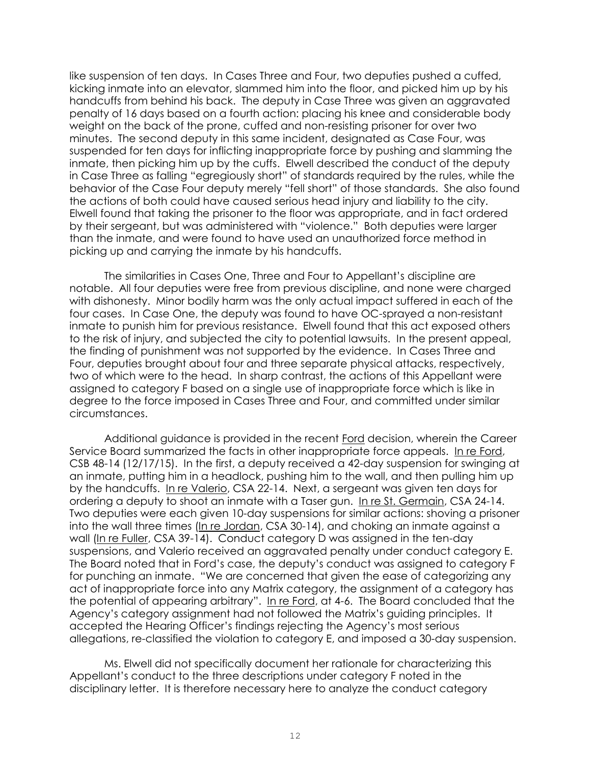like suspension of ten days. In Cases Three and Four, two deputies pushed a cuffed, kicking inmate into an elevator, slammed him into the floor, and picked him up by his handcuffs from behind his back. The deputy in Case Three was given an aggravated penalty of 16 days based on a fourth action: placing his knee and considerable body weight on the back of the prone, cuffed and non-resisting prisoner for over two minutes. The second deputy in this same incident, designated as Case Four, was suspended for ten days for inflicting inappropriate force by pushing and slamming the inmate, then picking him up by the cuffs. Elwell described the conduct of the deputy in Case Three as falling "egregiously short" of standards required by the rules, while the behavior of the Case Four deputy merely "fell short" of those standards. She also found the actions of both could have caused serious head injury and liability to the city. Elwell found that taking the prisoner to the floor was appropriate, and in fact ordered by their sergeant, but was administered with "violence." Both deputies were larger than the inmate, and were found to have used an unauthorized force method in picking up and carrying the inmate by his handcuffs.

The similarities in Cases One, Three and Four to Appellant's discipline are notable. All four deputies were free from previous discipline, and none were charged with dishonesty. Minor bodily harm was the only actual impact suffered in each of the four cases. In Case One, the deputy was found to have OC-sprayed a non-resistant inmate to punish him for previous resistance. Elwell found that this act exposed others to the risk of injury, and subjected the city to potential lawsuits. In the present appeal, the finding of punishment was not supported by the evidence. In Cases Three and Four, deputies brought about four and three separate physical attacks, respectively, two of which were to the head. In sharp contrast, the actions of this Appellant were assigned to category F based on a single use of inappropriate force which is like in degree to the force imposed in Cases Three and Four, and committed under similar circumstances.

Additional guidance is provided in the recent Ford decision, wherein the Career Service Board summarized the facts in other inappropriate force appeals. In re Ford, CSB 48-14 (12/17/15). In the first, a deputy received a 42-day suspension for swinging at an inmate, putting him in a headlock, pushing him to the wall, and then pulling him up by the handcuffs. In re Valerio, CSA 22-14. Next, a sergeant was given ten days for ordering a deputy to shoot an inmate with a Taser gun. In re St. Germain, CSA 24-14. Two deputies were each given 10-day suspensions for similar actions: shoving a prisoner into the wall three times (In re Jordan, CSA 30-14), and choking an inmate against a wall (In re Fuller, CSA 39-14). Conduct category D was assigned in the ten-day suspensions, and Valerio received an aggravated penalty under conduct category E. The Board noted that in Ford's case, the deputy's conduct was assigned to category F for punching an inmate. "We are concerned that given the ease of categorizing any act of inappropriate force into any Matrix category, the assignment of a category has the potential of appearing arbitrary". In re Ford, at 4-6. The Board concluded that the Agency's category assignment had not followed the Matrix's guiding principles. It accepted the Hearing Officer's findings rejecting the Agency's most serious allegations, re-classified the violation to category E, and imposed a 30-day suspension.

Ms. Elwell did not specifically document her rationale for characterizing this Appellant's conduct to the three descriptions under category F noted in the disciplinary letter. It is therefore necessary here to analyze the conduct category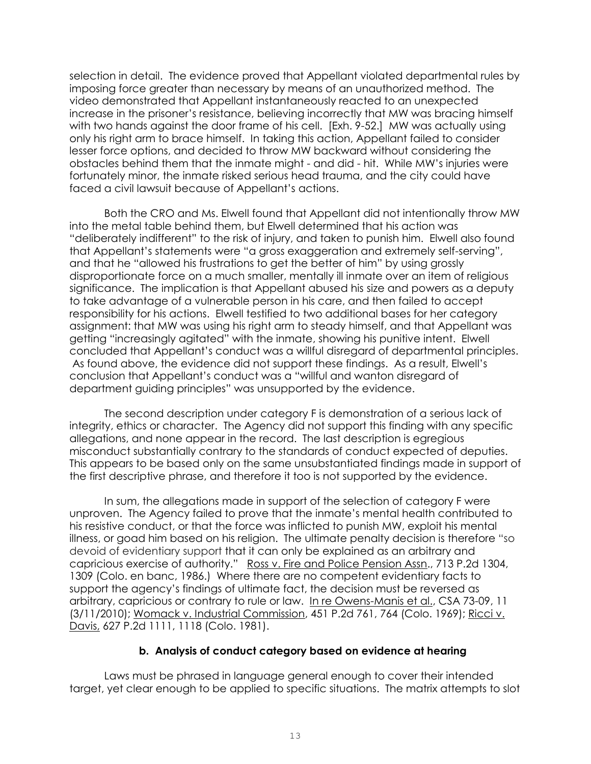selection in detail. The evidence proved that Appellant violated departmental rules by imposing force greater than necessary by means of an unauthorized method. The video demonstrated that Appellant instantaneously reacted to an unexpected increase in the prisoner's resistance, believing incorrectly that MW was bracing himself with two hands against the door frame of his cell. [Exh. 9-52.] MW was actually using only his right arm to brace himself. In taking this action, Appellant failed to consider lesser force options, and decided to throw MW backward without considering the obstacles behind them that the inmate might - and did - hit. While MW's injuries were fortunately minor, the inmate risked serious head trauma, and the city could have faced a civil lawsuit because of Appellant's actions.

Both the CRO and Ms. Elwell found that Appellant did not intentionally throw MW into the metal table behind them, but Elwell determined that his action was "deliberately indifferent" to the risk of injury, and taken to punish him. Elwell also found that Appellant's statements were "a gross exaggeration and extremely self-serving", and that he "allowed his frustrations to get the better of him" by using grossly disproportionate force on a much smaller, mentally ill inmate over an item of religious significance. The implication is that Appellant abused his size and powers as a deputy to take advantage of a vulnerable person in his care, and then failed to accept responsibility for his actions. Elwell testified to two additional bases for her category assignment: that MW was using his right arm to steady himself, and that Appellant was getting "increasingly agitated" with the inmate, showing his punitive intent. Elwell concluded that Appellant's conduct was a willful disregard of departmental principles. As found above, the evidence did not support these findings. As a result, Elwell's conclusion that Appellant's conduct was a "willful and wanton disregard of department guiding principles" was unsupported by the evidence.

The second description under category F is demonstration of a serious lack of integrity, ethics or character. The Agency did not support this finding with any specific allegations, and none appear in the record. The last description is egregious misconduct substantially contrary to the standards of conduct expected of deputies. This appears to be based only on the same unsubstantiated findings made in support of the first descriptive phrase, and therefore it too is not supported by the evidence.

In sum, the allegations made in support of the selection of category F were unproven. The Agency failed to prove that the inmate's mental health contributed to his resistive conduct, or that the force was inflicted to punish MW, exploit his mental illness, or goad him based on his religion. The ultimate penalty decision is therefore "so devoid of evidentiary support that it can only be explained as an arbitrary and capricious exercise of authority." Ross v. Fire and Police Pension Assn., 713 P.2d 1304, 1309 (Colo. en banc, 1986.) Where there are no competent evidentiary facts to support the agency's findings of ultimate fact, the decision must be reversed as arbitrary, capricious or contrary to rule or law. [In re Owens-Manis](http://www.denvergov.org/content/dam/denvergov/Portals/hearings_office/documents/Hearings/Owens-Manis_and_Pettway_Decision.pdf) et al., CSA 73-09, 11 (3/11/2010); [Womack v. Industrial Commission,](http://www.denvergov.org/content/denvergov/en/grievances-hearings-and-appeals/external-case-citings.html) 451 P.2d 761, 764 (Colo. 1969); [Ricci v.](http://www.denvergov.org/content/denvergov/en/grievances-hearings-and-appeals/external-case-citings.html)  [Davis,](http://www.denvergov.org/content/denvergov/en/grievances-hearings-and-appeals/external-case-citings.html) 627 P.2d 1111, 1118 (Colo. 1981).

### **b. Analysis of conduct category based on evidence at hearing**

Laws must be phrased in language general enough to cover their intended target, yet clear enough to be applied to specific situations. The matrix attempts to slot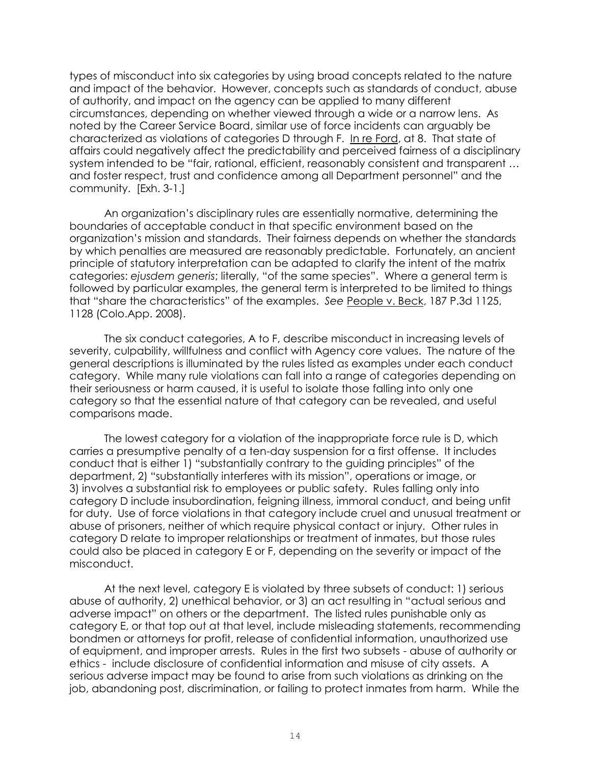types of misconduct into six categories by using broad concepts related to the nature and impact of the behavior. However, concepts such as standards of conduct, abuse of authority, and impact on the agency can be applied to many different circumstances, depending on whether viewed through a wide or a narrow lens. As noted by the Career Service Board, similar use of force incidents can arguably be characterized as violations of categories D through F. In re Ford, at 8. That state of affairs could negatively affect the predictability and perceived fairness of a disciplinary system intended to be "fair, rational, efficient, reasonably consistent and transparent ... and foster respect, trust and confidence among all Department personnel" and the community. [Exh. 3-1.]

An organization's disciplinary rules are essentially normative, determining the boundaries of acceptable conduct in that specific environment based on the organization's mission and standards. Their fairness depends on whether the standards by which penalties are measured are reasonably predictable. Fortunately, an ancient principle of statutory interpretation can be adapted to clarify the intent of the matrix categories: *ejusdem generis*; literally, "of the same species". Where a general term is followed by particular examples, the general term is interpreted to be limited to things that "share the characteristics" of the examples. *See* People v. Beck, 187 P.3d 1125, 1128 (Colo.App. 2008).

The six conduct categories, A to F, describe misconduct in increasing levels of severity, culpability, willfulness and conflict with Agency core values. The nature of the general descriptions is illuminated by the rules listed as examples under each conduct category. While many rule violations can fall into a range of categories depending on their seriousness or harm caused, it is useful to isolate those falling into only one category so that the essential nature of that category can be revealed, and useful comparisons made.

The lowest category for a violation of the inappropriate force rule is D, which carries a presumptive penalty of a ten-day suspension for a first offense. It includes conduct that is either 1) "substantially contrary to the guiding principles" of the department, 2) "substantially interferes with its mission", operations or image, or 3) involves a substantial risk to employees or public safety. Rules falling only into category D include insubordination, feigning illness, immoral conduct, and being unfit for duty. Use of force violations in that category include cruel and unusual treatment or abuse of prisoners, neither of which require physical contact or injury. Other rules in category D relate to improper relationships or treatment of inmates, but those rules could also be placed in category E or F, depending on the severity or impact of the misconduct.

At the next level, category E is violated by three subsets of conduct: 1) serious abuse of authority, 2) unethical behavior, or 3) an act resulting in "actual serious and adverse impact" on others or the department. The listed rules punishable only as category E, or that top out at that level, include misleading statements, recommending bondmen or attorneys for profit, release of confidential information, unauthorized use of equipment, and improper arrests. Rules in the first two subsets - abuse of authority or ethics - include disclosure of confidential information and misuse of city assets. A serious adverse impact may be found to arise from such violations as drinking on the job, abandoning post, discrimination, or failing to protect inmates from harm. While the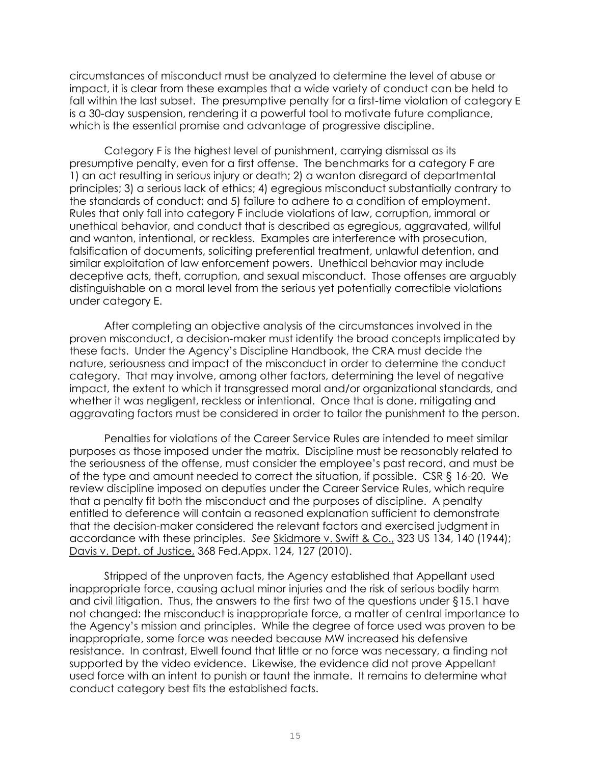circumstances of misconduct must be analyzed to determine the level of abuse or impact, it is clear from these examples that a wide variety of conduct can be held to fall within the last subset. The presumptive penalty for a first-time violation of category E is a 30-day suspension, rendering it a powerful tool to motivate future compliance, which is the essential promise and advantage of progressive discipline.

Category F is the highest level of punishment, carrying dismissal as its presumptive penalty, even for a first offense. The benchmarks for a category F are 1) an act resulting in serious injury or death; 2) a wanton disregard of departmental principles; 3) a serious lack of ethics; 4) egregious misconduct substantially contrary to the standards of conduct; and 5) failure to adhere to a condition of employment. Rules that only fall into category F include violations of law, corruption, immoral or unethical behavior, and conduct that is described as egregious, aggravated, willful and wanton, intentional, or reckless. Examples are interference with prosecution, falsification of documents, soliciting preferential treatment, unlawful detention, and similar exploitation of law enforcement powers. Unethical behavior may include deceptive acts, theft, corruption, and sexual misconduct. Those offenses are arguably distinguishable on a moral level from the serious yet potentially correctible violations under category E.

After completing an objective analysis of the circumstances involved in the proven misconduct, a decision-maker must identify the broad concepts implicated by these facts. Under the Agency's Discipline Handbook, the CRA must decide the nature, seriousness and impact of the misconduct in order to determine the conduct category. That may involve, among other factors, determining the level of negative impact, the extent to which it transgressed moral and/or organizational standards, and whether it was negligent, reckless or intentional. Once that is done, mitigating and aggravating factors must be considered in order to tailor the punishment to the person.

Penalties for violations of the Career Service Rules are intended to meet similar purposes as those imposed under the matrix. Discipline must be reasonably related to the seriousness of the offense, must consider the employee's past record, and must be of the type and amount needed to correct the situation, if possible. CSR § 16-20. We review discipline imposed on deputies under the Career Service Rules, which require that a penalty fit both the misconduct and the purposes of discipline. A penalty entitled to deference will contain a reasoned explanation sufficient to demonstrate that the decision-maker considered the relevant factors and exercised judgment in accordance with these principles. *See* Skidmore v. Swift & Co., 323 US 134, 140 (1944); Davis v. Dept. of Justice, 368 Fed.Appx. 124, 127 (2010).

Stripped of the unproven facts, the Agency established that Appellant used inappropriate force, causing actual minor injuries and the risk of serious bodily harm and civil litigation. Thus, the answers to the first two of the questions under  $\S 15.1$  have not changed: the misconduct is inappropriate force, a matter of central importance to the Agency's mission and principles. While the degree of force used was proven to be inappropriate, some force was needed because MW increased his defensive resistance. In contrast, Elwell found that little or no force was necessary, a finding not supported by the video evidence. Likewise, the evidence did not prove Appellant used force with an intent to punish or taunt the inmate. It remains to determine what conduct category best fits the established facts.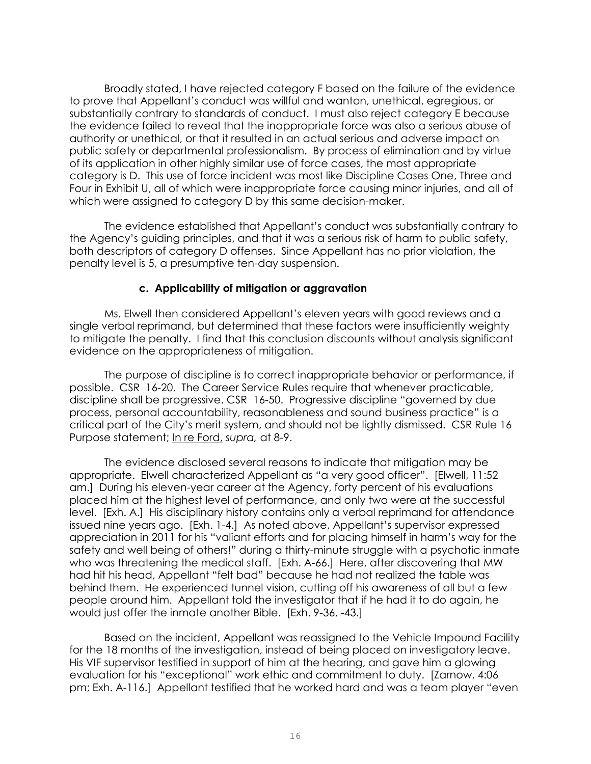Broadly stated, I have rejected category F based on the failure of the evidence to prove that Appellant's conduct was willful and wanton, unethical, egregious, or substantially contrary to standards of conduct. I must also reject category E because the evidence failed to reveal that the inappropriate force was also a serious abuse of authority or unethical, or that it resulted in an actual serious and adverse impact on public safety or departmental professionalism. By process of elimination and by virtue of its application in other highly similar use of force cases, the most appropriate category is D. This use of force incident was most like Discipline Cases One, Three and Four in Exhibit U, all of which were inappropriate force causing minor injuries, and all of which were assigned to category D by this same decision-maker.

The evidence established that Appellant's conduct was substantially contrary to the Agency's guiding principles, and that it was a serious risk of harm to public safety, both descriptors of category D offenses. Since Appellant has no prior violation, the penalty level is 5, a presumptive ten-day suspension.

### **c. Applicability of mitigation or aggravation**

Ms. Elwell then considered Appellant's eleven years with good reviews and a single verbal reprimand, but determined that these factors were insufficiently weighty to mitigate the penalty. I find that this conclusion discounts without analysis significant evidence on the appropriateness of mitigation.

The purpose of discipline is to correct inappropriate behavior or performance, if possible. CSR 16-20. The Career Service Rules require that whenever practicable, discipline shall be progressive. CSR 16-50. Progressive discipline "governed by due process, personal accountability, reasonableness and sound business practice" is a critical part of the City's merit system, and should not be lightly dismissed. CSR Rule 16 Purpose statement; In re Ford, *supra,* at 8-9.

The evidence disclosed several reasons to indicate that mitigation may be appropriate. Elwell characterized Appellant as "a very good officer". [Elwell, 11:52 am.] During his eleven-year career at the Agency, forty percent of his evaluations placed him at the highest level of performance, and only two were at the successful level. [Exh. A.] His disciplinary history contains only a verbal reprimand for attendance issued nine years ago. [Exh. 1-4.] As noted above, Appellant's supervisor expressed appreciation in 2011 for his "valiant efforts and for placing himself in harm's way for the safety and well being of others!" during a thirty-minute struggle with a psychotic inmate who was threatening the medical staff. [Exh. A-66.] Here, after discovering that MW had hit his head, Appellant "felt bad" because he had not realized the table was behind them. He experienced tunnel vision, cutting off his awareness of all but a few people around him. Appellant told the investigator that if he had it to do again, he would just offer the inmate another Bible. [Exh. 9-36, -43.]

Based on the incident, Appellant was reassigned to the Vehicle Impound Facility for the 18 months of the investigation, instead of being placed on investigatory leave. His VIF supervisor testified in support of him at the hearing, and gave him a glowing evaluation for his "exceptional" work ethic and commitment to duty. [Zarnow, 4:06 pm; Exh. A-116.] Appellant testified that he worked hard and was a team player "even